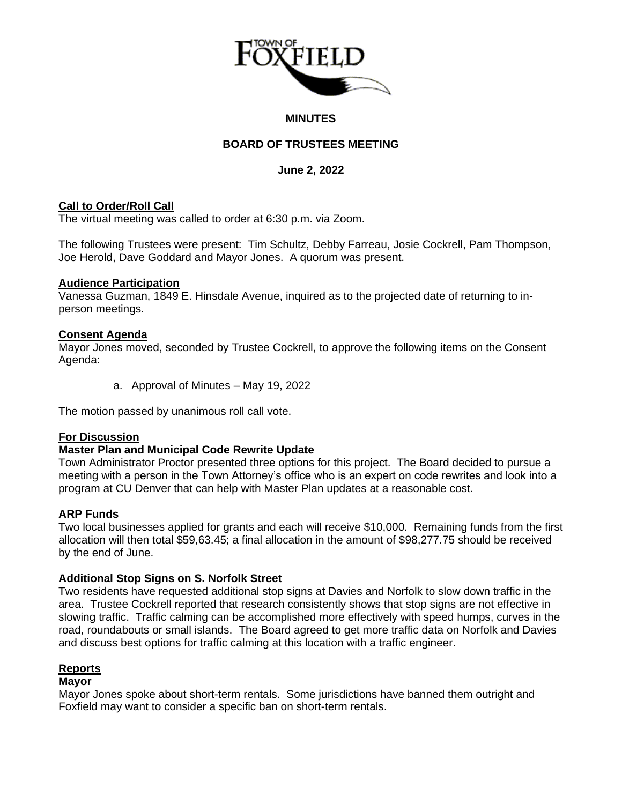

#### **MINUTES**

# **BOARD OF TRUSTEES MEETING**

### **June 2, 2022**

### **Call to Order/Roll Call**

The virtual meeting was called to order at 6:30 p.m. via Zoom.

The following Trustees were present: Tim Schultz, Debby Farreau, Josie Cockrell, Pam Thompson, Joe Herold, Dave Goddard and Mayor Jones. A quorum was present.

#### **Audience Participation**

Vanessa Guzman, 1849 E. Hinsdale Avenue, inquired as to the projected date of returning to inperson meetings.

### **Consent Agenda**

Mayor Jones moved, seconded by Trustee Cockrell, to approve the following items on the Consent Agenda:

a. Approval of Minutes – May 19, 2022

The motion passed by unanimous roll call vote.

## **For Discussion**

## **Master Plan and Municipal Code Rewrite Update**

Town Administrator Proctor presented three options for this project. The Board decided to pursue a meeting with a person in the Town Attorney's office who is an expert on code rewrites and look into a program at CU Denver that can help with Master Plan updates at a reasonable cost.

## **ARP Funds**

Two local businesses applied for grants and each will receive \$10,000. Remaining funds from the first allocation will then total \$59,63.45; a final allocation in the amount of \$98,277.75 should be received by the end of June.

## **Additional Stop Signs on S. Norfolk Street**

Two residents have requested additional stop signs at Davies and Norfolk to slow down traffic in the area. Trustee Cockrell reported that research consistently shows that stop signs are not effective in slowing traffic. Traffic calming can be accomplished more effectively with speed humps, curves in the road, roundabouts or small islands. The Board agreed to get more traffic data on Norfolk and Davies and discuss best options for traffic calming at this location with a traffic engineer.

#### **Reports**

## **Mayor**

Mayor Jones spoke about short-term rentals. Some jurisdictions have banned them outright and Foxfield may want to consider a specific ban on short-term rentals.